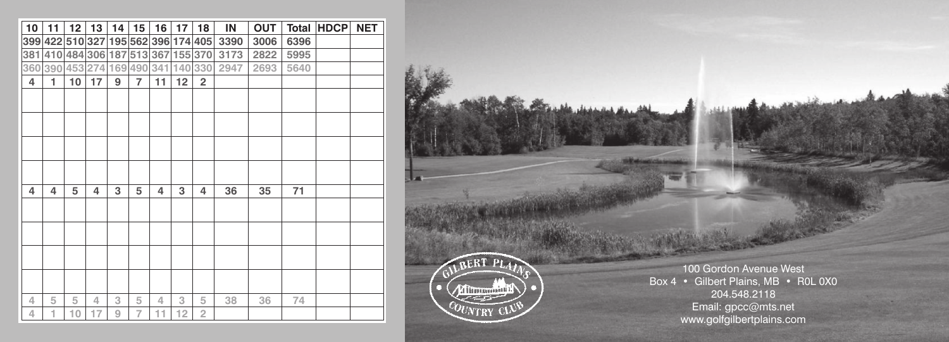| 10  | 11 | 12          | 13                              | 14      | 15             | 16  | 17      | 18                              | IN   | <b>OUT</b> | <b>Total</b> | <b>HDCP</b> | <b>NET</b> |
|-----|----|-------------|---------------------------------|---------|----------------|-----|---------|---------------------------------|------|------------|--------------|-------------|------------|
| 399 |    |             |                                 |         |                |     |         | 422 510 327 195 562 396 174 405 | 3390 | 3006       | 6396         |             |            |
| 381 |    |             | 410 484 306 187 513 367 155 370 |         |                |     |         |                                 | 3173 | 2822       | 5995         |             |            |
| 360 |    | 390 453 274 |                                 | 169 490 |                | 341 | 140 330 |                                 | 2947 | 2693       | 5640         |             |            |
| 4   | 1  | 10          | 17                              | 9       | $\overline{7}$ | 11  | 12      | $\overline{2}$                  |      |            |              |             |            |
|     |    |             |                                 |         |                |     |         |                                 |      |            |              |             |            |
|     |    |             |                                 |         |                |     |         |                                 |      |            |              |             |            |
|     |    |             |                                 |         |                |     |         |                                 |      |            |              |             |            |
|     |    |             |                                 |         |                |     |         |                                 |      |            |              |             |            |
|     |    |             |                                 |         |                |     |         |                                 |      |            |              |             |            |
|     |    |             |                                 |         |                |     |         |                                 |      |            |              |             |            |
|     |    |             |                                 |         |                |     |         |                                 |      |            |              |             |            |
| 4   | 4  | 5           | 4                               | 3       | 5              | 4   | 3       | 4                               | 36   | 35         | 71           |             |            |
|     |    |             |                                 |         |                |     |         |                                 |      |            |              |             |            |
|     |    |             |                                 |         |                |     |         |                                 |      |            |              |             |            |
|     |    |             |                                 |         |                |     |         |                                 |      |            |              |             |            |
|     |    |             |                                 |         |                |     |         |                                 |      |            |              |             |            |
|     |    |             |                                 |         |                |     |         |                                 |      |            |              |             |            |
|     |    |             |                                 |         |                |     |         |                                 |      |            |              |             |            |
|     |    |             |                                 |         |                |     |         |                                 |      |            |              |             |            |
| 4   | 5  | 5           | 4                               | 3       | 5              | 4   | 3       | 5                               | 38   | 36         | 74           |             |            |
| 4   | 1  | 10          | 17                              | 9       | $\overline{7}$ | 11  | 12      | $\overline{2}$                  |      |            |              |             |            |



100 Gordon Avenue West Box 4 • Gilbert Plains, MB • R0L 0X0 204.548.2118 Email: gpcc@mts.net www.golfgilbertplains.com